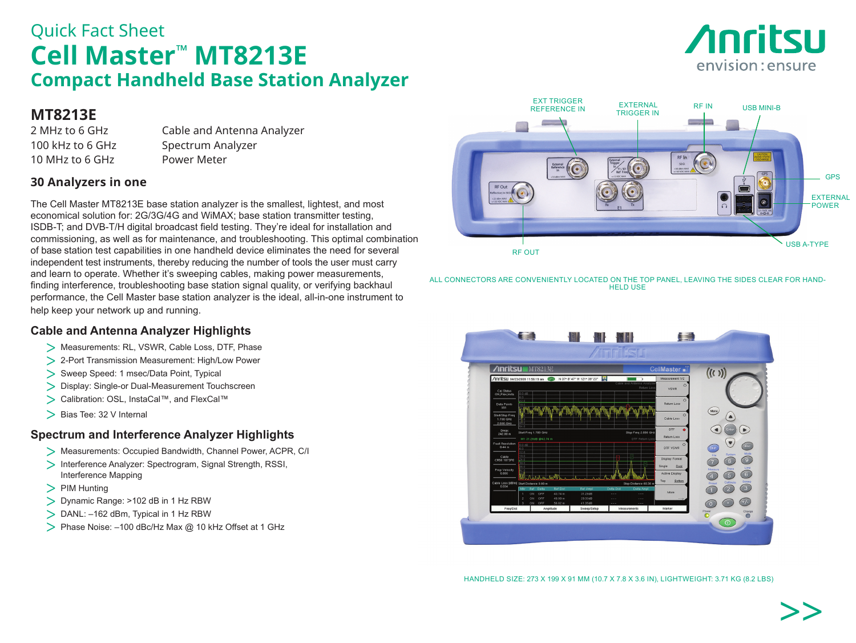# Quick Fact Sheet **Cell Master™ MT8213E Compact Handheld Base Station Analyzer**

# **MT8213E**

10 MHz to 6 GHz Power Meter

2 MHz to 6 GHz Cable and Antenna Analyzer 100 kHz to 6 GHz Spectrum Analyzer

## **30 Analyzers in one**

The Cell Master MT8213E base station analyzer is the smallest, lightest, and most economical solution for: 2G/3G/4G and WiMAX; base station transmitter testing, ISDB-T; and DVB-T/H digital broadcast field testing. They're ideal for installation and commissioning, as well as for maintenance, and troubleshooting. This optimal combination of base station test capabilities in one handheld device eliminates the need for several independent test instruments, thereby reducing the number of tools the user must carry and learn to operate. Whether it's sweeping cables, making power measurements, finding interference, troubleshooting base station signal quality, or verifying backhaul performance, the Cell Master base station analyzer is the ideal, all-in-one instrument to help keep your network up and running.

### **Cable and Antenna Analyzer Highlights**

- > Measurements: RL, VSWR. Cable Loss, DTF. Phase
- > 2-Port Transmission Measurement: High/Low Power
- > Sweep Speed: 1 msec/Data Point, Typical
- > Display: Single-or Dual-Measurement Touchscreen
- > Calibration: OSL, InstaCal™, and FlexCal™
- > Bias Tee: 32 V Internal

### **Spectrum and Interference Analyzer Highlights**

- > Measurements: Occupied Bandwidth, Channel Power, ACPR, C/I
- > Interference Analyzer: Spectrogram, Signal Strength, RSSI, Interference Mapping
- > PIM Hunting
- > Dynamic Range: >102 dB in 1 Hz RBW
- > DANL: –162 dBm, Typical in 1 Hz RBW
- > Phase Noise: -100 dBc/Hz Max @ 10 kHz Offset at 1 GHz



**Anritsu** 

envision: ensure

ALL CONNECTORS ARE CONVENIENTLY LOCATED ON THE TOP PANEL, LEAVING THE SIDES CLEAR FOR HAND-HELD USE